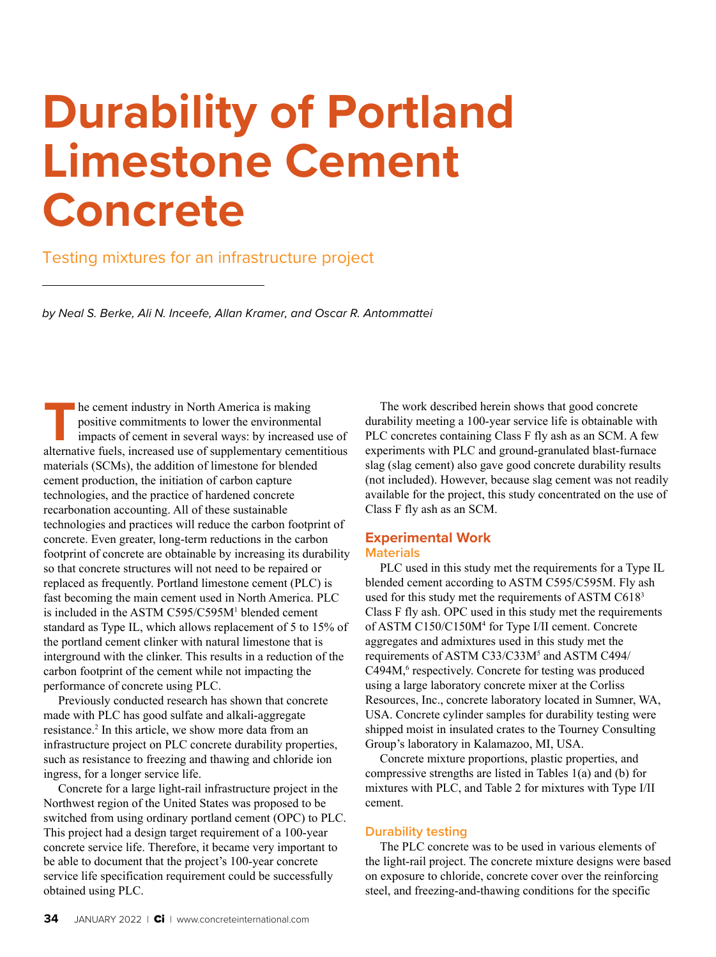# **Durability of Portland Limestone Cement Concrete**

#### Testing mixtures for an infrastructure project

*by Neal S. Berke, Ali N. Inceefe, Allan Kramer, and Oscar R. Antommattei*

**THE EXECUTE 15 THE CEMENT OF THE CONSERVANCE CONSERVANCE SERVICE SUSPENSION SUPPLEM SUPPLEM AND SUPPLEM ALTERATIVE FUELS, increased use of supplementary cementitious** positive commitments to lower the environmental impacts of cement in several ways: by increased use of materials (SCMs), the addition of limestone for blended cement production, the initiation of carbon capture technologies, and the practice of hardened concrete recarbonation accounting. All of these sustainable technologies and practices will reduce the carbon footprint of concrete. Even greater, long-term reductions in the carbon footprint of concrete are obtainable by increasing its durability so that concrete structures will not need to be repaired or replaced as frequently. Portland limestone cement (PLC) is fast becoming the main cement used in North America. PLC is included in the ASTM C595/C595M1 blended cement standard as Type IL, which allows replacement of 5 to 15% of the portland cement clinker with natural limestone that is interground with the clinker. This results in a reduction of the carbon footprint of the cement while not impacting the performance of concrete using PLC.

Previously conducted research has shown that concrete made with PLC has good sulfate and alkali-aggregate resistance.2 In this article, we show more data from an infrastructure project on PLC concrete durability properties, such as resistance to freezing and thawing and chloride ion ingress, for a longer service life.

Concrete for a large light-rail infrastructure project in the Northwest region of the United States was proposed to be switched from using ordinary portland cement (OPC) to PLC. This project had a design target requirement of a 100-year concrete service life. Therefore, it became very important to be able to document that the project's 100-year concrete service life specification requirement could be successfully obtained using PLC.

The work described herein shows that good concrete durability meeting a 100-year service life is obtainable with PLC concretes containing Class F fly ash as an SCM. A few experiments with PLC and ground-granulated blast-furnace slag (slag cement) also gave good concrete durability results (not included). However, because slag cement was not readily available for the project, this study concentrated on the use of Class F fly ash as an SCM.

#### **Experimental Work Materials**

PLC used in this study met the requirements for a Type IL blended cement according to ASTM C595/C595M. Fly ash used for this study met the requirements of ASTM C618<sup>3</sup> Class F fly ash. OPC used in this study met the requirements of ASTM C150/C150M4 for Type I/II cement. Concrete aggregates and admixtures used in this study met the requirements of ASTM C33/C33M<sup>5</sup> and ASTM C494/ C494M,<sup>6</sup> respectively. Concrete for testing was produced using a large laboratory concrete mixer at the Corliss Resources, Inc., concrete laboratory located in Sumner, WA, USA. Concrete cylinder samples for durability testing were shipped moist in insulated crates to the Tourney Consulting Group's laboratory in Kalamazoo, MI, USA.

Concrete mixture proportions, plastic properties, and compressive strengths are listed in Tables 1(a) and (b) for mixtures with PLC, and Table 2 for mixtures with Type I/II cement.

#### **Durability testing**

The PLC concrete was to be used in various elements of the light-rail project. The concrete mixture designs were based on exposure to chloride, concrete cover over the reinforcing steel, and freezing-and-thawing conditions for the specific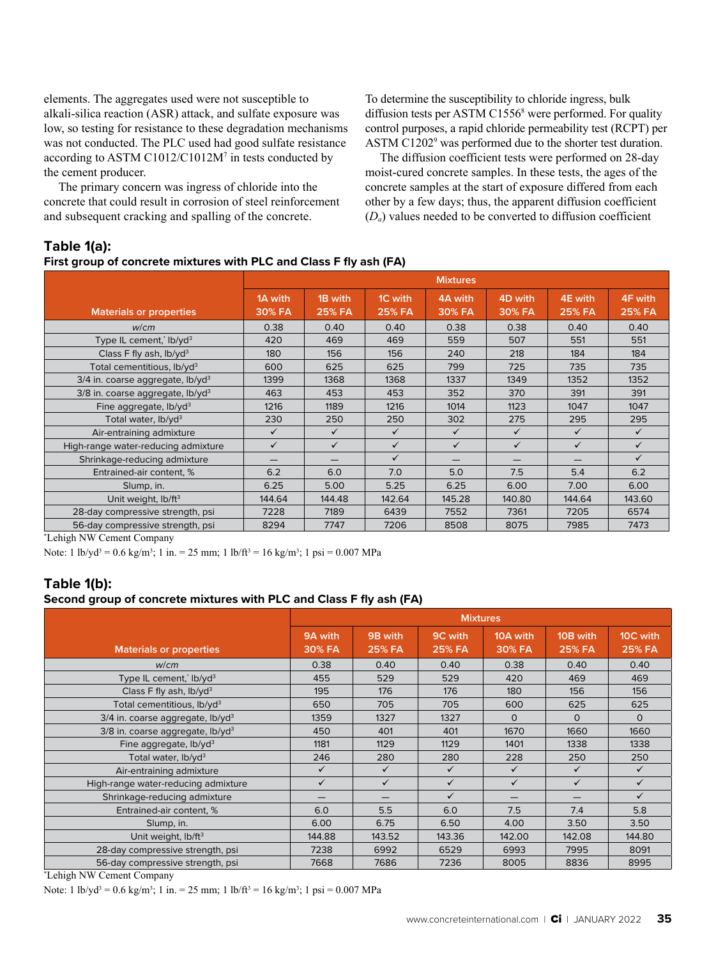elements. The aggregates used were not susceptible to alkali-silica reaction (ASR) attack, and sulfate exposure was low, so testing for resistance to these degradation mechanisms was not conducted. The PLC used had good sulfate resistance according to ASTM C1012/C1012M7 in tests conducted by the cement producer.

The primary concern was ingress of chloride into the concrete that could result in corrosion of steel reinforcement and subsequent cracking and spalling of the concrete.

To determine the susceptibility to chloride ingress, bulk diffusion tests per ASTM C1556<sup>8</sup> were performed. For quality control purposes, a rapid chloride permeability test (RCPT) per ASTM C1202<sup>9</sup> was performed due to the shorter test duration.

The diffusion coefficient tests were performed on 28-day moist-cured concrete samples. In these tests, the ages of the concrete samples at the start of exposure differed from each other by a few days; thus, the apparent diffusion coefficient  $(D_a)$  values needed to be converted to diffusion coefficient

#### **Table 1(a):**

#### **First group of concrete mixtures with PLC and Class F fly ash (FA)**

|                                                                               | <b>Mixtures</b>   |                          |                          |                   |                   |                          |                          |
|-------------------------------------------------------------------------------|-------------------|--------------------------|--------------------------|-------------------|-------------------|--------------------------|--------------------------|
| <b>Materials or properties</b>                                                | 1A with<br>30% FA | 1B with<br><b>25% FA</b> | 1C with<br><b>25% FA</b> | 4A with<br>30% FA | 4D with<br>30% FA | 4E with<br><b>25% FA</b> | 4F with<br><b>25% FA</b> |
| W/cm                                                                          | 0.38              | 0.40                     | 0.40                     | 0.38              | 0.38              | 0.40                     | 0.40                     |
| Type IL cement, Ib/yd <sup>3</sup>                                            | 420               | 469                      | 469                      | 559               | 507               | 551                      | 551                      |
| Class F fly ash, $lb/vd^3$                                                    | 180               | 156                      | 156                      | 240               | 218               | 184                      | 184                      |
| Total cementitious, lb/yd <sup>3</sup>                                        | 600               | 625                      | 625                      | 799               | 725               | 735                      | 735                      |
| $3/4$ in. coarse aggregate, lb/yd <sup>3</sup>                                | 1399              | 1368                     | 1368                     | 1337              | 1349              | 1352                     | 1352                     |
| $3/8$ in. coarse aggregate, lb/yd <sup>3</sup>                                | 463               | 453                      | 453                      | 352               | 370               | 391                      | 391                      |
| Fine aggregate, $lb$ /yd <sup>3</sup>                                         | 1216              | 1189                     | 1216                     | 1014              | 1123              | 1047                     | 1047                     |
| Total water, lb/yd <sup>3</sup>                                               | 230               | 250                      | 250                      | 302               | 275               | 295                      | 295                      |
| Air-entraining admixture                                                      | $\checkmark$      | $\checkmark$             | $\checkmark$             | $\checkmark$      | $\checkmark$      | $\checkmark$             | $\checkmark$             |
| High-range water-reducing admixture                                           | $\checkmark$      | $\checkmark$             | $\checkmark$             | $\checkmark$      | $\checkmark$      | $\checkmark$             | $\checkmark$             |
| Shrinkage-reducing admixture                                                  | —                 |                          | $\checkmark$             |                   |                   |                          | ✓                        |
| Entrained-air content, %                                                      | 6.2               | 6.0                      | 7.0                      | 5.0               | 7.5               | 5.4                      | 6.2                      |
| Slump, in.                                                                    | 6.25              | 5.00                     | 5.25                     | 6.25              | 6.00              | 7.00                     | 6.00                     |
| Unit weight, lb/ft <sup>3</sup>                                               | 144.64            | 144.48                   | 142.64                   | 145.28            | 140.80            | 144.64                   | 143.60                   |
| 28-day compressive strength, psi                                              | 7228              | 7189                     | 6439                     | 7552              | 7361              | 7205                     | 6574                     |
| 56-day compressive strength, psi<br>$\sim$ $\sim$ $\sim$ $\sim$ $\sim$ $\sim$ | 8294              | 7747                     | 7206                     | 8508              | 8075              | 7985                     | 7473                     |

\* Lehigh NW Cement Company

Note: 1 lb/yd<sup>3</sup> = 0.6 kg/m<sup>3</sup>; 1 in. = 25 mm; 1 lb/ft<sup>3</sup> = 16 kg/m<sup>3</sup>; 1 psi = 0.007 MPa

### **Table 1(b):**

#### **Second group of concrete mixtures with PLC and Class F fly ash (FA)**

|                                                | <b>Mixtures</b>   |                          |                                 |                    |                           |                           |
|------------------------------------------------|-------------------|--------------------------|---------------------------------|--------------------|---------------------------|---------------------------|
| <b>Materials or properties</b>                 | 9A with<br>30% FA | 9B with<br><b>25% FA</b> | <b>9C</b> with<br><b>25% FA</b> | 10A with<br>30% FA | 10B with<br><b>25% FA</b> | 10C with<br><b>25% FA</b> |
| W/cm                                           | 0.38              | 0.40                     | 0.40                            | 0.38               | 0.40                      | 0.40                      |
| Type IL cement, Ib/yd <sup>3</sup>             | 455               | 529                      | 529                             | 420                | 469                       | 469                       |
| Class F fly ash, lb/yd <sup>3</sup>            | 195               | 176                      | 176                             | 180                | 156                       | 156                       |
| Total cementitious, lb/yd <sup>3</sup>         | 650               | 705                      | 705                             | 600                | 625                       | 625                       |
| $3/4$ in. coarse aggregate, lb/yd <sup>3</sup> | 1359              | 1327                     | 1327                            | $\Omega$           | $\Omega$                  | $\Omega$                  |
| $3/8$ in. coarse aggregate, lb/yd <sup>3</sup> | 450               | 401                      | 401                             | 1670               | 1660                      | 1660                      |
| Fine aggregate, $lb$ /yd <sup>3</sup>          | 1181              | 1129                     | 1129                            | 1401               | 1338                      | 1338                      |
| Total water, lb/yd <sup>3</sup>                | 246               | 280                      | 280                             | 228                | 250                       | 250                       |
| Air-entraining admixture                       | ✓                 | $\checkmark$             | ✓                               | $\checkmark$       | $\checkmark$              | $\checkmark$              |
| High-range water-reducing admixture            | ✓                 | $\checkmark$             | $\checkmark$                    | $\checkmark$       | $\checkmark$              | $\checkmark$              |
| Shrinkage-reducing admixture                   |                   |                          | $\checkmark$                    |                    | –                         | $\checkmark$              |
| Entrained-air content, %                       | 6.0               | 5.5                      | 6.0                             | 7.5                | 7.4                       | 5.8                       |
| Slump, in.                                     | 6.00              | 6.75                     | 6.50                            | 4.00               | 3.50                      | 3.50                      |
| Unit weight, lb/ft <sup>3</sup>                | 144.88            | 143.52                   | 143.36                          | 142.00             | 142.08                    | 144.80                    |
| 28-day compressive strength, psi               | 7238              | 6992                     | 6529                            | 6993               | 7995                      | 8091                      |
| 56-day compressive strength, psi               | 7668              | 7686                     | 7236                            | 8005               | 8836                      | 8995                      |

\* Lehigh NW Cement Company

Note: 1 lb/yd<sup>3</sup> = 0.6 kg/m<sup>3</sup>; 1 in. = 25 mm; 1 lb/ft<sup>3</sup> = 16 kg/m<sup>3</sup>; 1 psi = 0.007 MPa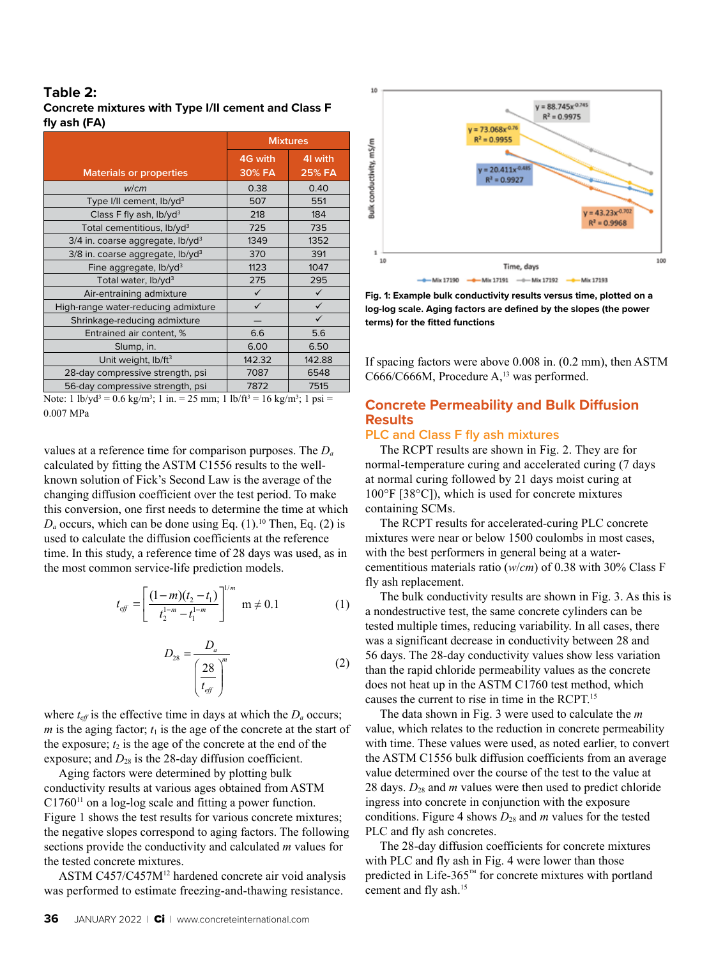#### **Table 2: Concrete mixtures with Type I/II cement and Class F fly ash (FA)**

|                                                | <b>Mixtures</b>   |                         |  |  |
|------------------------------------------------|-------------------|-------------------------|--|--|
| <b>Materials or properties</b>                 | 4G with<br>30% FA | 4 with<br><b>25% FA</b> |  |  |
| W/cm                                           | 0.38              | 0.40                    |  |  |
| Type I/II cement, lb/yd <sup>3</sup>           | 507               | 551                     |  |  |
| Class F fly ash, lb/yd <sup>3</sup>            | 218               | 184                     |  |  |
| Total cementitious, lb/yd <sup>3</sup>         | 725               | 735                     |  |  |
| $3/4$ in. coarse aggregate, lb/yd <sup>3</sup> | 1349              | 1352                    |  |  |
| $3/8$ in. coarse aggregate, lb/yd <sup>3</sup> | 370               | 391                     |  |  |
| Fine aggregate, $lb$ /yd <sup>3</sup>          | 1123              | 1047                    |  |  |
| Total water, lb/yd <sup>3</sup>                | 275               | 295                     |  |  |
| Air-entraining admixture                       | $\checkmark$      | $\checkmark$            |  |  |
| High-range water-reducing admixture            | $\checkmark$      | $\checkmark$            |  |  |
| Shrinkage-reducing admixture                   |                   | $\checkmark$            |  |  |
| Entrained air content, %                       | 6.6               | 5.6                     |  |  |
| Slump, in.                                     | 6.00              | 6.50                    |  |  |
| Unit weight, lb/ft <sup>3</sup>                | 142.32            | 142.88                  |  |  |
| 28-day compressive strength, psi               | 7087              | 6548                    |  |  |
| 56-day compressive strength, psi               | 7872              | 7515                    |  |  |

Note: 1 lb/yd<sup>3</sup> = 0.6 kg/m<sup>3</sup>; 1 in. = 25 mm; 1 lb/ft<sup>3</sup> = 16 kg/m<sup>3</sup>; 1 psi = 0.007 MPa

values at a reference time for comparison purposes. The *Da* calculated by fitting the ASTM C1556 results to the wellknown solution of Fick's Second Law is the average of the changing diffusion coefficient over the test period. To make this conversion, one first needs to determine the time at which  $D_a$  occurs, which can be done using Eq. (1).<sup>10</sup> Then, Eq. (2) is used to calculate the diffusion coefficients at the reference time. In this study, a reference time of 28 days was used, as in the most common service-life prediction models.

$$
t_{\text{eff}} = \left[ \frac{(1-m)(t_2 - t_1)}{t_2^{1-m} - t_1^{1-m}} \right]^{1/m} \text{ m} \neq 0.1 \tag{1}
$$

$$
D_{28} = \frac{D_a}{\left(\frac{28}{t_{\text{eff}}}\right)^m} \tag{2}
$$

where  $t_{\text{eff}}$  is the effective time in days at which the  $D_a$  occurs; *m* is the aging factor;  $t_1$  is the age of the concrete at the start of the exposure;  $t_2$  is the age of the concrete at the end of the exposure; and  $D_{28}$  is the 28-day diffusion coefficient.

Aging factors were determined by plotting bulk conductivity results at various ages obtained from ASTM  $C1760<sup>11</sup>$  on a log-log scale and fitting a power function. Figure 1 shows the test results for various concrete mixtures; the negative slopes correspond to aging factors. The following sections provide the conductivity and calculated *m* values for the tested concrete mixtures.

ASTM C457/C457M12 hardened concrete air void analysis was performed to estimate freezing-and-thawing resistance.



**Fig. 1: Example bulk conductivity results versus time, plotted on a log-log scale. Aging factors are defined by the slopes (the power terms) for the fitted functions**

If spacing factors were above 0.008 in. (0.2 mm), then ASTM C666/C666M, Procedure A,<sup>13</sup> was performed.

#### **Concrete Permeability and Bulk Diffusion Results**

#### **PLC and Class F fly ash mixtures**

The RCPT results are shown in Fig. 2. They are for normal-temperature curing and accelerated curing (7 days at normal curing followed by 21 days moist curing at 100°F [38°C]), which is used for concrete mixtures containing SCMs.

The RCPT results for accelerated-curing PLC concrete mixtures were near or below 1500 coulombs in most cases, with the best performers in general being at a watercementitious materials ratio (*w*/*cm*) of 0.38 with 30% Class F fly ash replacement.

The bulk conductivity results are shown in Fig. 3. As this is a nondestructive test, the same concrete cylinders can be tested multiple times, reducing variability. In all cases, there was a significant decrease in conductivity between 28 and 56 days. The 28-day conductivity values show less variation than the rapid chloride permeability values as the concrete does not heat up in the ASTM C1760 test method, which causes the current to rise in time in the RCPT.15

The data shown in Fig. 3 were used to calculate the *m* value, which relates to the reduction in concrete permeability with time. These values were used, as noted earlier, to convert the ASTM C1556 bulk diffusion coefficients from an average value determined over the course of the test to the value at 28 days.  $D_{28}$  and *m* values were then used to predict chloride ingress into concrete in conjunction with the exposure conditions. Figure 4 shows  $D_{28}$  and *m* values for the tested PLC and fly ash concretes.

The 28-day diffusion coefficients for concrete mixtures with PLC and fly ash in Fig. 4 were lower than those predicted in Life-365™ for concrete mixtures with portland cement and fly ash.15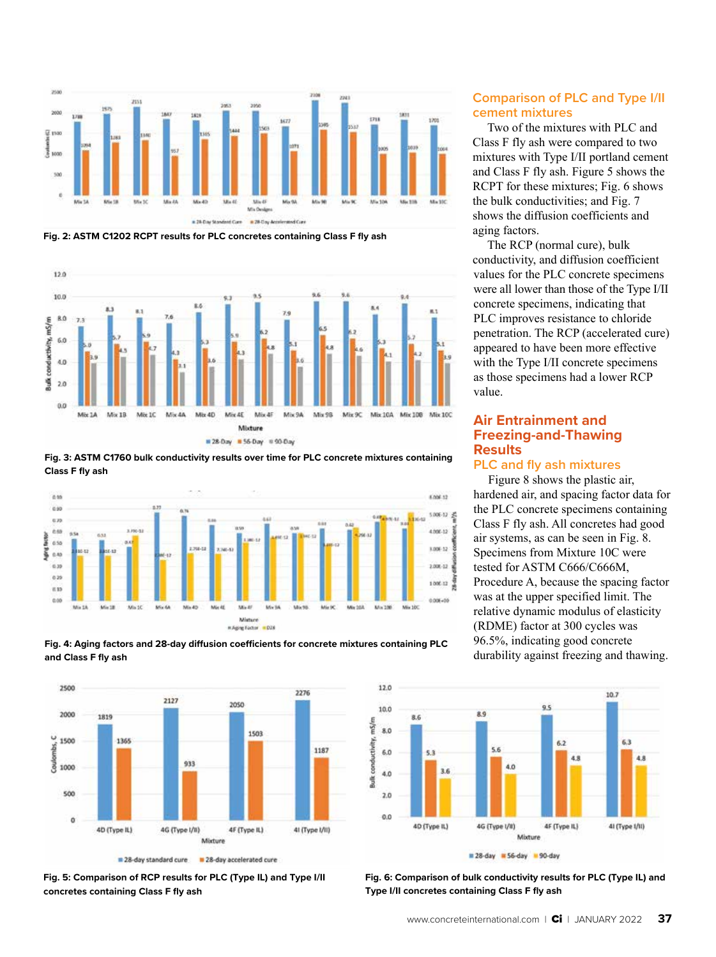

**Fig. 2: ASTM C1202 RCPT results for PLC concretes containing Class F fly ash**



**Fig. 3: ASTM C1760 bulk conductivity results over time for PLC concrete mixtures containing Class F fly ash**







**Fig. 5: Comparison of RCP results for PLC (Type IL) and Type I/II concretes containing Class F fly ash**

#### **Comparison of PLC and Type I/II cement mixtures**

Two of the mixtures with PLC and Class F fly ash were compared to two mixtures with Type I/II portland cement and Class F fly ash. Figure 5 shows the RCPT for these mixtures; Fig. 6 shows the bulk conductivities; and Fig. 7 shows the diffusion coefficients and aging factors.

The RCP (normal cure), bulk conductivity, and diffusion coefficient values for the PLC concrete specimens were all lower than those of the Type I/II concrete specimens, indicating that PLC improves resistance to chloride penetration. The RCP (accelerated cure) appeared to have been more effective with the Type I/II concrete specimens as those specimens had a lower RCP value.

#### **Air Entrainment and Freezing-and-Thawing Results**

#### **PLC and fly ash mixtures**

Figure 8 shows the plastic air, hardened air, and spacing factor data for the PLC concrete specimens containing Class F fly ash. All concretes had good air systems, as can be seen in Fig. 8. Specimens from Mixture 10C were tested for ASTM C666/C666M, Procedure A, because the spacing factor was at the upper specified limit. The relative dynamic modulus of elasticity (RDME) factor at 300 cycles was 96.5%, indicating good concrete durability against freezing and thawing.



**Fig. 6: Comparison of bulk conductivity results for PLC (Type IL) and Type I/II concretes containing Class F fly ash**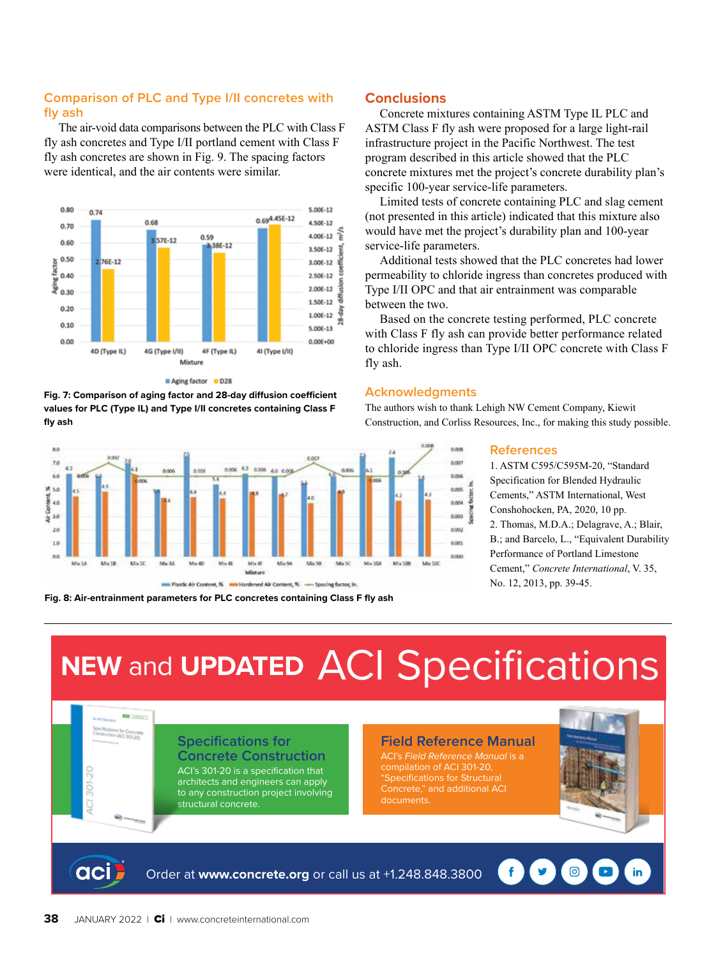#### **Comparison of PLC and Type I/II concretes with fly ash**

The air-void data comparisons between the PLC with Class F fly ash concretes and Type I/II portland cement with Class F fly ash concretes are shown in Fig. 9. The spacing factors were identical, and the air contents were similar.



Aging factor D28

**Fig. 7: Comparison of aging factor and 28-day diffusion coefficient values for PLC (Type IL) and Type I/II concretes containing Class F fly ash**



**Fig. 8: Air-entrainment parameters for PLC concretes containing Class F fly ash**

#### **Conclusions**

Concrete mixtures containing ASTM Type IL PLC and ASTM Class F fly ash were proposed for a large light-rail infrastructure project in the Pacific Northwest. The test program described in this article showed that the PLC concrete mixtures met the project's concrete durability plan's specific 100-year service-life parameters.

Limited tests of concrete containing PLC and slag cement (not presented in this article) indicated that this mixture also would have met the project's durability plan and 100-year service-life parameters.

Additional tests showed that the PLC concretes had lower permeability to chloride ingress than concretes produced with Type I/II OPC and that air entrainment was comparable between the two.

Based on the concrete testing performed, PLC concrete with Class F fly ash can provide better performance related to chloride ingress than Type I/II OPC concrete with Class F fly ash.

#### **Acknowledgments**

The authors wish to thank Lehigh NW Cement Company, Kiewit Construction, and Corliss Resources, Inc., for making this study possible.

#### **References**

1. ASTM C595/C595M-20, "Standard Specification for Blended Hydraulic Cements," ASTM International, West Conshohocken, PA, 2020, 10 pp. 2. Thomas, M.D.A.; Delagrave, A.; Blair, B.; and Barcelo, L., "Equivalent Durability Performance of Portland Limestone Cement," *Concrete International*, V. 35, No. 12, 2013, pp. 39-45.

## **NEW** and **UPDATED** [ACI Specifications](http://www.concrete.org)

#### **Specifications for Concrete Construction**

ACI's 301-20 is a specification that architects and engineers can apply to any construction project involving structural concrete.

#### **Field Reference Manual**

t<sub>h</sub>ctor

ACI's *Field Reference Manual* is a compilation of ACI 301-20, "Specifications for Structural Concrete," and additional ACI documents.



in

ම



Order at **www.concrete.org** or call us at +1.248.848.3800